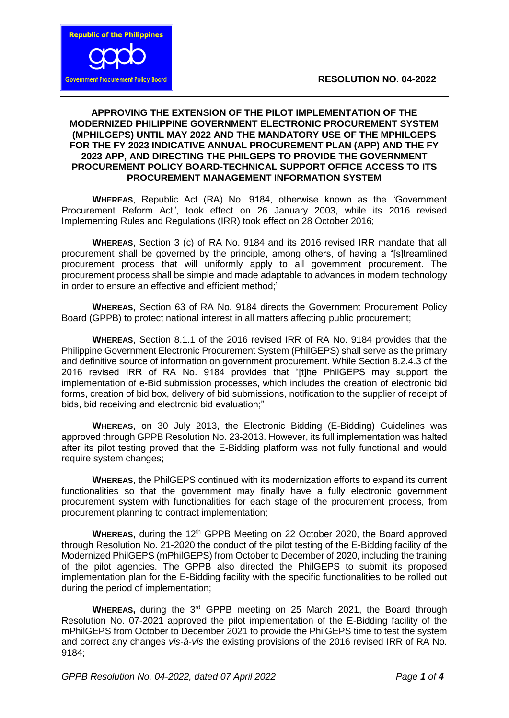

## **APPROVING THE EXTENSION OF THE PILOT IMPLEMENTATION OF THE MODERNIZED PHILIPPINE GOVERNMENT ELECTRONIC PROCUREMENT SYSTEM (MPHILGEPS) UNTIL MAY 2022 AND THE MANDATORY USE OF THE MPHILGEPS FOR THE FY 2023 INDICATIVE ANNUAL PROCUREMENT PLAN (APP) AND THE FY 2023 APP, AND DIRECTING THE PHILGEPS TO PROVIDE THE GOVERNMENT PROCUREMENT POLICY BOARD-TECHNICAL SUPPORT OFFICE ACCESS TO ITS PROCUREMENT MANAGEMENT INFORMATION SYSTEM**

**WHEREAS**, Republic Act (RA) No. 9184, otherwise known as the "Government Procurement Reform Act", took effect on 26 January 2003, while its 2016 revised Implementing Rules and Regulations (IRR) took effect on 28 October 2016;

**WHEREAS**, Section 3 (c) of RA No. 9184 and its 2016 revised IRR mandate that all procurement shall be governed by the principle, among others, of having a "[s]treamlined procurement process that will uniformly apply to all government procurement. The procurement process shall be simple and made adaptable to advances in modern technology in order to ensure an effective and efficient method;"

**WHEREAS**, Section 63 of RA No. 9184 directs the Government Procurement Policy Board (GPPB) to protect national interest in all matters affecting public procurement;

**WHEREAS**, Section 8.1.1 of the 2016 revised IRR of RA No. 9184 provides that the Philippine Government Electronic Procurement System (PhilGEPS) shall serve as the primary and definitive source of information on government procurement. While Section 8.2.4.3 of the 2016 revised IRR of RA No. 9184 provides that "[t]he PhilGEPS may support the implementation of e-Bid submission processes, which includes the creation of electronic bid forms, creation of bid box, delivery of bid submissions, notification to the supplier of receipt of bids, bid receiving and electronic bid evaluation;"

**WHEREAS**, on 30 July 2013, the Electronic Bidding (E-Bidding) Guidelines was approved through GPPB Resolution No. 23-2013. However, its full implementation was halted after its pilot testing proved that the E-Bidding platform was not fully functional and would require system changes;

**WHEREAS**, the PhilGEPS continued with its modernization efforts to expand its current functionalities so that the government may finally have a fully electronic government procurement system with functionalities for each stage of the procurement process, from procurement planning to contract implementation;

**WHEREAS, during the 12<sup>th</sup> GPPB Meeting on 22 October 2020, the Board approved** through Resolution No. 21-2020 the conduct of the pilot testing of the E-Bidding facility of the Modernized PhilGEPS (mPhilGEPS) from October to December of 2020, including the training of the pilot agencies. The GPPB also directed the PhilGEPS to submit its proposed implementation plan for the E-Bidding facility with the specific functionalities to be rolled out during the period of implementation;

**WHEREAS,** during the 3<sup>rd</sup> GPPB meeting on 25 March 2021, the Board through Resolution No. 07-2021 approved the pilot implementation of the E-Bidding facility of the mPhilGEPS from October to December 2021 to provide the PhilGEPS time to test the system and correct any changes *vis-à-vis* the existing provisions of the 2016 revised IRR of RA No. 9184;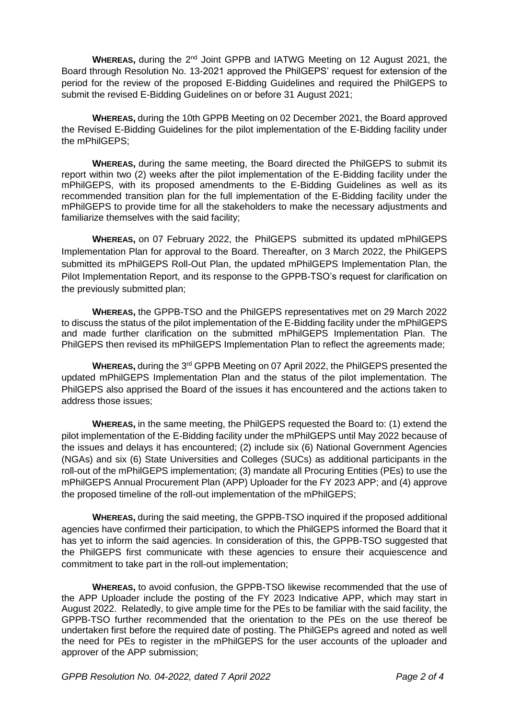**WHEREAS,** during the 2<sup>nd</sup> Joint GPPB and IATWG Meeting on 12 August 2021, the Board through Resolution No. 13-2021 approved the PhilGEPS' request for extension of the period for the review of the proposed E-Bidding Guidelines and required the PhilGEPS to submit the revised E-Bidding Guidelines on or before 31 August 2021;

**WHEREAS,** during the 10th GPPB Meeting on 02 December 2021, the Board approved the Revised E-Bidding Guidelines for the pilot implementation of the E-Bidding facility under the mPhilGEPS;

**WHEREAS,** during the same meeting, the Board directed the PhilGEPS to submit its report within two (2) weeks after the pilot implementation of the E-Bidding facility under the mPhilGEPS, with its proposed amendments to the E-Bidding Guidelines as well as its recommended transition plan for the full implementation of the E-Bidding facility under the mPhilGEPS to provide time for all the stakeholders to make the necessary adjustments and familiarize themselves with the said facility;

**WHEREAS,** on 07 February 2022, the PhilGEPS submitted its updated mPhilGEPS Implementation Plan for approval to the Board. Thereafter, on 3 March 2022, the PhilGEPS submitted its mPhilGEPS Roll-Out Plan, the updated mPhilGEPS Implementation Plan, the Pilot Implementation Report, and its response to the GPPB-TSO's request for clarification on the previously submitted plan;

**WHEREAS,** the GPPB-TSO and the PhilGEPS representatives met on 29 March 2022 to discuss the status of the pilot implementation of the E-Bidding facility under the mPhilGEPS and made further clarification on the submitted mPhilGEPS Implementation Plan. The PhilGEPS then revised its [mPhilGEPS Implementation Plan](https://drive.google.com/file/d/1EYmpCwL0OHbQJlzFf__DKhCqbJGKqX10/view?usp=sharing) to reflect the agreements made;

**WHEREAS,** during the 3rd GPPB Meeting on 07 April 2022, the PhilGEPS presented the updated mPhilGEPS Implementation Plan and the status of the pilot implementation. The PhilGEPS also apprised the Board of the issues it has encountered and the actions taken to address those issues;

**WHEREAS,** in the same meeting, the PhilGEPS requested the Board to: (1) extend the pilot implementation of the E-Bidding facility under the mPhilGEPS until May 2022 because of the issues and delays it has encountered; (2) include six (6) National Government Agencies (NGAs) and six (6) State Universities and Colleges (SUCs) as additional participants in the roll-out of the mPhilGEPS implementation; (3) mandate all Procuring Entities (PEs) to use the mPhilGEPS Annual Procurement Plan (APP) Uploader for the FY 2023 APP; and (4) approve the proposed timeline of the roll-out implementation of the mPhilGEPS;

**WHEREAS,** during the said meeting, the GPPB-TSO inquired if the proposed additional agencies have confirmed their participation, to which the PhilGEPS informed the Board that it has yet to inform the said agencies. In consideration of this, the GPPB-TSO suggested that the PhilGEPS first communicate with these agencies to ensure their acquiescence and commitment to take part in the roll-out implementation;

**WHEREAS,** to avoid confusion, the GPPB-TSO likewise recommended that the use of the APP Uploader include the posting of the FY 2023 Indicative APP, which may start in August 2022. Relatedly, to give ample time for the PEs to be familiar with the said facility, the GPPB-TSO further recommended that the orientation to the PEs on the use thereof be undertaken first before the required date of posting. The PhilGEPs agreed and noted as well the need for PEs to register in the mPhilGEPS for the user accounts of the uploader and approver of the APP submission;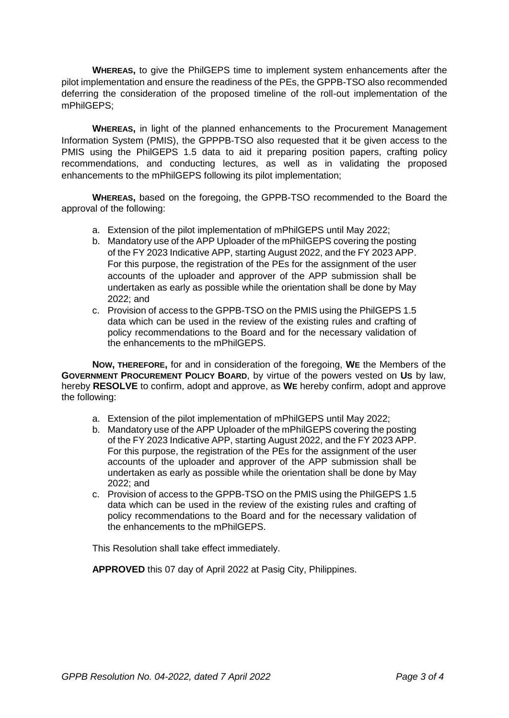**WHEREAS,** to give the PhilGEPS time to implement system enhancements after the pilot implementation and ensure the readiness of the PEs, the GPPB-TSO also recommended deferring the consideration of the proposed timeline of the roll-out implementation of the mPhilGEPS;

**WHEREAS,** in light of the planned enhancements to the Procurement Management Information System (PMIS), the GPPPB-TSO also requested that it be given access to the PMIS using the PhilGEPS 1.5 data to aid it preparing position papers, crafting policy recommendations, and conducting lectures, as well as in validating the proposed enhancements to the mPhilGEPS following its pilot implementation;

**WHEREAS,** based on the foregoing, the GPPB-TSO recommended to the Board the approval of the following:

- a. Extension of the pilot implementation of mPhilGEPS until May 2022;
- b. Mandatory use of the APP Uploader of the mPhilGEPS covering the posting of the FY 2023 Indicative APP, starting August 2022, and the FY 2023 APP. For this purpose, the registration of the PEs for the assignment of the user accounts of the uploader and approver of the APP submission shall be undertaken as early as possible while the orientation shall be done by May 2022; and
- c. Provision of access to the GPPB-TSO on the PMIS using the PhilGEPS 1.5 data which can be used in the review of the existing rules and crafting of policy recommendations to the Board and for the necessary validation of the enhancements to the mPhilGEPS.

**NOW, THEREFORE,** for and in consideration of the foregoing, **WE** the Members of the **GOVERNMENT PROCUREMENT POLICY BOARD**, by virtue of the powers vested on **US** by law, hereby **RESOLVE** to confirm, adopt and approve, as **WE** hereby confirm, adopt and approve the following:

- a. Extension of the pilot implementation of mPhilGEPS until May 2022;
- b. Mandatory use of the APP Uploader of the mPhilGEPS covering the posting of the FY 2023 Indicative APP, starting August 2022, and the FY 2023 APP. For this purpose, the registration of the PEs for the assignment of the user accounts of the uploader and approver of the APP submission shall be undertaken as early as possible while the orientation shall be done by May 2022; and
- c. Provision of access to the GPPB-TSO on the PMIS using the PhilGEPS 1.5 data which can be used in the review of the existing rules and crafting of policy recommendations to the Board and for the necessary validation of the enhancements to the mPhilGEPS.

This Resolution shall take effect immediately.

**APPROVED** this 07 day of April 2022 at Pasig City, Philippines.